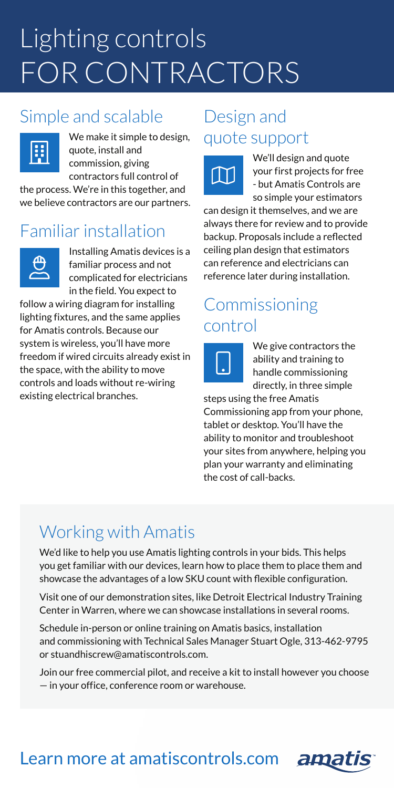# Lighting controls FOR CONTRACTORS

# Simple and scalable



We make it simple to design, quote, install and commission, giving contractors full control of

the process. We're in this together, and we believe contractors are our partners.

# Familiar installation



Installing Amatis devices is a familiar process and not complicated for electricians in the field. You expect to

follow a wiring diagram for installing lighting fixtures, and the same applies for Amatis controls. Because our system is wireless, you'll have more freedom if wired circuits already exist in the space, with the ability to move controls and loads without re-wiring existing electrical branches.

### Design and quote support



We'll design and quote your first projects for free - but Amatis Controls are so simple your estimators

can design it themselves, and we are always there for review and to provide backup. Proposals include a reflected ceiling plan design that estimators can reference and electricians can reference later during installation.

# Commissioning control



We give contractors the ability and training to handle commissioning directly, in three simple

steps using the free Amatis Commissioning app from your phone, tablet or desktop. You'll have the ability to monitor and troubleshoot your sites from anywhere, helping you plan your warranty and eliminating the cost of call-backs.

# Working with Amatis

We'd like to help you use Amatis lighting controls in your bids. This helps you get familiar with our devices, learn how to place them to place them and showcase the advantages of a low SKU count with flexible configuration.

Visit one of our demonstration sites, like Detroit Electrical Industry Training Center in Warren, where we can showcase installations in several rooms.

Schedule in-person or online training on Amatis basics, installation and commissioning with Technical Sales Manager Stuart Ogle, 313-462-9795 or stuandhiscrew@amatiscontrols.com.

Join our free commercial pilot, and receive a kit to install however you choose — in your office, conference room or warehouse.